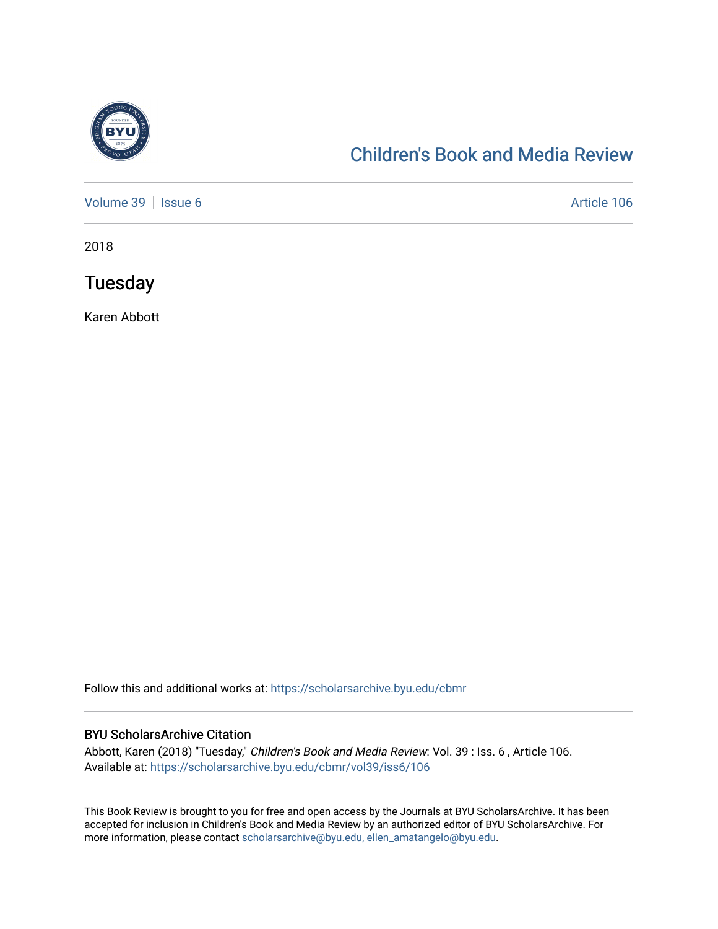

# [Children's Book and Media Review](https://scholarsarchive.byu.edu/cbmr)

[Volume 39](https://scholarsarchive.byu.edu/cbmr/vol39) | [Issue 6](https://scholarsarchive.byu.edu/cbmr/vol39/iss6) Article 106

2018

**Tuesday** 

Karen Abbott

Follow this and additional works at: [https://scholarsarchive.byu.edu/cbmr](https://scholarsarchive.byu.edu/cbmr?utm_source=scholarsarchive.byu.edu%2Fcbmr%2Fvol39%2Fiss6%2F106&utm_medium=PDF&utm_campaign=PDFCoverPages) 

#### BYU ScholarsArchive Citation

Abbott, Karen (2018) "Tuesday," Children's Book and Media Review: Vol. 39 : Iss. 6 , Article 106. Available at: [https://scholarsarchive.byu.edu/cbmr/vol39/iss6/106](https://scholarsarchive.byu.edu/cbmr/vol39/iss6/106?utm_source=scholarsarchive.byu.edu%2Fcbmr%2Fvol39%2Fiss6%2F106&utm_medium=PDF&utm_campaign=PDFCoverPages) 

This Book Review is brought to you for free and open access by the Journals at BYU ScholarsArchive. It has been accepted for inclusion in Children's Book and Media Review by an authorized editor of BYU ScholarsArchive. For more information, please contact [scholarsarchive@byu.edu, ellen\\_amatangelo@byu.edu.](mailto:scholarsarchive@byu.edu,%20ellen_amatangelo@byu.edu)